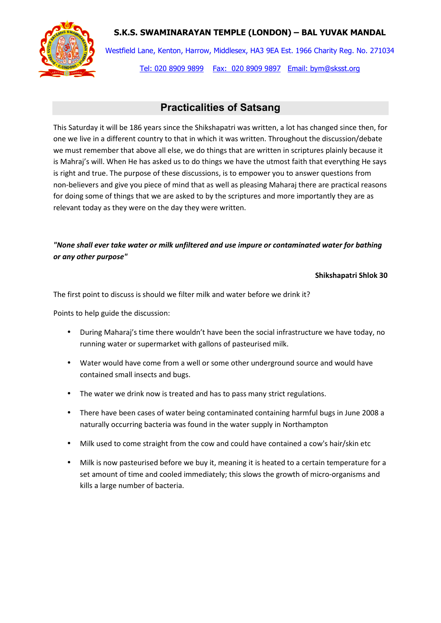## **S.K.S. SWAMINARAYAN TEMPLE (LONDON) – BAL YUVAK MANDAL**



Westfield Lane, Kenton, Harrow, Middlesex, HA3 9EA Est. 1966 Charity Reg. No. 271034 Tel: 020 8909 9899 Fax: 020 8909 9897 Email: bym@sksst.org

# **Practicalities of Satsang**

This Saturday it will be 186 years since the Shikshapatri was written, a lot has changed since then, for one we live in a different country to that in which it was written. Throughout the discussion/debate we must remember that above all else, we do things that are written in scriptures plainly because it is Mahraj's will. When He has asked us to do things we have the utmost faith that everything He says is right and true. The purpose of these discussions, is to empower you to answer questions from non-believers and give you piece of mind that as well as pleasing Maharaj there are practical reasons for doing some of things that we are asked to by the scriptures and more importantly they are as relevant today as they were on the day they were written.

### *"None shall ever take water or milk unfiltered and use impure or contaminated water for bathing or any other purpose"*

#### **Shikshapatri Shlok 30**

The first point to discuss is should we filter milk and water before we drink it?

Points to help guide the discussion:

- During Maharaj's time there wouldn't have been the social infrastructure we have today, no running water or supermarket with gallons of pasteurised milk.
- Water would have come from a well or some other underground source and would have contained small insects and bugs.
- The water we drink now is treated and has to pass many strict regulations.
- There have been cases of water being contaminated containing harmful bugs in June 2008 a naturally occurring bacteria was found in the water supply in Northampton
- Milk used to come straight from the cow and could have contained a cow's hair/skin etc
- Milk is now pasteurised before we buy it, meaning it is heated to a certain temperature for a set amount of time and cooled immediately; this slows the growth of micro-organisms and kills a large number of bacteria.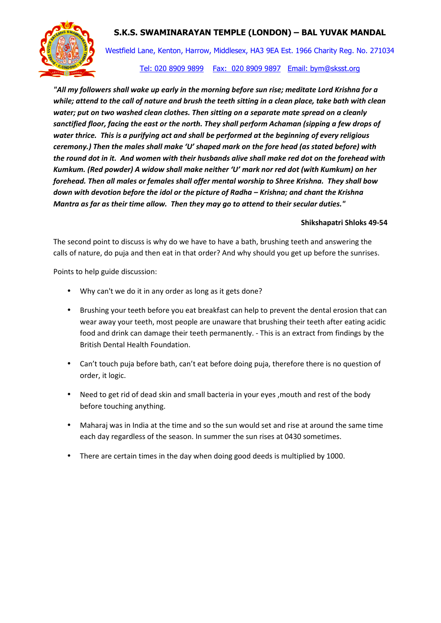### **S.K.S. SWAMINARAYAN TEMPLE (LONDON) – BAL YUVAK MANDAL**



Westfield Lane, Kenton, Harrow, Middlesex, HA3 9EA Est. 1966 Charity Reg. No. 271034

#### Tel: 020 8909 9899 Fax: 020 8909 9897 Email: bym@sksst.org

*"All my followers shall wake up early in the morning before sun rise; meditate Lord Krishna for a while; attend to the call of nature and brush the teeth sitting in a clean place, take bath with clean water; put on two washed clean clothes. Then sitting on a separate mate spread on a cleanly sanctified floor, facing the east or the north. They shall perform Achaman (sipping a few drops of water thrice. This is a purifying act and shall be performed at the beginning of every religious ceremony.) Then the males shall make 'U' shaped mark on the fore head (as stated before) with the round dot in it. And women with their husbands alive shall make red dot on the forehead with Kumkum. (Red powder) A widow shall make neither 'U' mark nor red dot (with Kumkum) on her forehead. Then all males or females shall offer mental worship to Shree Krishna. They shall bow down with devotion before the idol or the picture of Radha – Krishna; and chant the Krishna Mantra as far as their time allow. Then they may go to attend to their secular duties."* 

#### **Shikshapatri Shloks 49-54**

The second point to discuss is why do we have to have a bath, brushing teeth and answering the calls of nature, do puja and then eat in that order? And why should you get up before the sunrises.

Points to help guide discussion:

- Why can't we do it in any order as long as it gets done?
- Brushing your teeth before you eat breakfast can help to prevent the dental erosion that can wear away your teeth, most people are unaware that brushing their teeth after eating acidic food and drink can damage their teeth permanently. - This is an extract from findings by the British Dental Health Foundation.
- Can't touch puja before bath, can't eat before doing puja, therefore there is no question of order, it logic.
- Need to get rid of dead skin and small bacteria in your eyes ,mouth and rest of the body before touching anything.
- Maharaj was in India at the time and so the sun would set and rise at around the same time each day regardless of the season. In summer the sun rises at 0430 sometimes.
- There are certain times in the day when doing good deeds is multiplied by 1000.